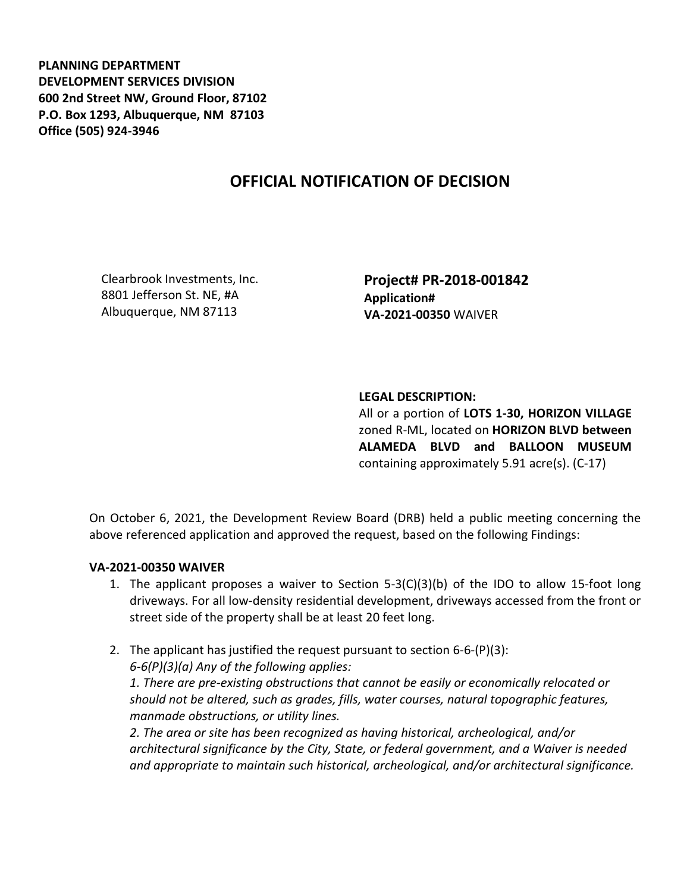**PLANNING DEPARTMENT DEVELOPMENT SERVICES DIVISION 600 2nd Street NW, Ground Floor, 87102 P.O. Box 1293, Albuquerque, NM 87103 Office (505) 924-3946** 

# **OFFICIAL NOTIFICATION OF DECISION**

Clearbrook Investments, Inc. 8801 Jefferson St. NE, #A Albuquerque, NM 87113

**Project# PR-2018-001842 Application# VA-2021-00350** WAIVER

### **LEGAL DESCRIPTION:**

All or a portion of **LOTS 1-30, HORIZON VILLAGE**  zoned R-ML, located on **HORIZON BLVD between ALAMEDA BLVD and BALLOON MUSEUM**  containing approximately 5.91 acre(s). (C-17)

On October 6, 2021, the Development Review Board (DRB) held a public meeting concerning the above referenced application and approved the request, based on the following Findings:

#### **VA-2021-00350 WAIVER**

- 1. The applicant proposes a waiver to Section  $5-3(C)(3)(b)$  of the IDO to allow 15-foot long driveways. For all low-density residential development, driveways accessed from the front or street side of the property shall be at least 20 feet long.
- 2. The applicant has justified the request pursuant to section 6-6-(P)(3): *6-6(P)(3)(a) Any of the following applies: 1. There are pre-existing obstructions that cannot be easily or economically relocated or should not be altered, such as grades, fills, water courses, natural topographic features, manmade obstructions, or utility lines.*

*2. The area or site has been recognized as having historical, archeological, and/or architectural significance by the City, State, or federal government, and a Waiver is needed and appropriate to maintain such historical, archeological, and/or architectural significance.*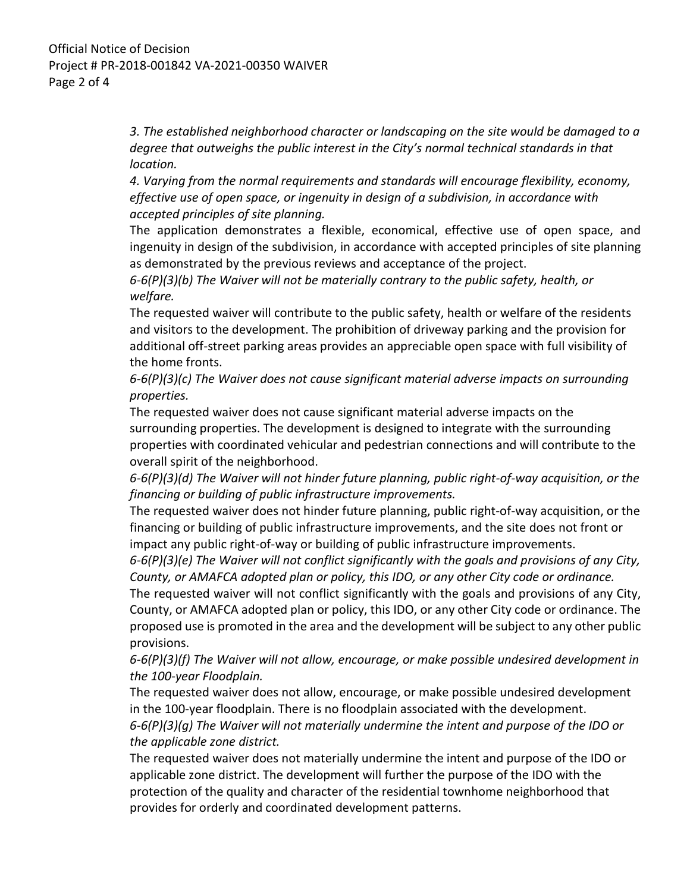*3. The established neighborhood character or landscaping on the site would be damaged to a degree that outweighs the public interest in the City's normal technical standards in that location.* 

*4. Varying from the normal requirements and standards will encourage flexibility, economy, effective use of open space, or ingenuity in design of a subdivision, in accordance with accepted principles of site planning.* 

The application demonstrates a flexible, economical, effective use of open space, and ingenuity in design of the subdivision, in accordance with accepted principles of site planning as demonstrated by the previous reviews and acceptance of the project.

*6-6(P)(3)(b) The Waiver will not be materially contrary to the public safety, health, or welfare.* 

The requested waiver will contribute to the public safety, health or welfare of the residents and visitors to the development. The prohibition of driveway parking and the provision for additional off-street parking areas provides an appreciable open space with full visibility of the home fronts.

*6-6(P)(3)(c) The Waiver does not cause significant material adverse impacts on surrounding properties.* 

The requested waiver does not cause significant material adverse impacts on the surrounding properties. The development is designed to integrate with the surrounding properties with coordinated vehicular and pedestrian connections and will contribute to the overall spirit of the neighborhood.

*6-6(P)(3)(d) The Waiver will not hinder future planning, public right-of-way acquisition, or the financing or building of public infrastructure improvements.* 

The requested waiver does not hinder future planning, public right-of-way acquisition, or the financing or building of public infrastructure improvements, and the site does not front or impact any public right-of-way or building of public infrastructure improvements.

*6-6(P)(3)(e) The Waiver will not conflict significantly with the goals and provisions of any City, County, or AMAFCA adopted plan or policy, this IDO, or any other City code or ordinance.* 

The requested waiver will not conflict significantly with the goals and provisions of any City, County, or AMAFCA adopted plan or policy, this IDO, or any other City code or ordinance. The proposed use is promoted in the area and the development will be subject to any other public provisions.

*6-6(P)(3)(f) The Waiver will not allow, encourage, or make possible undesired development in the 100-year Floodplain.* 

The requested waiver does not allow, encourage, or make possible undesired development in the 100-year floodplain. There is no floodplain associated with the development.

*6-6(P)(3)(g) The Waiver will not materially undermine the intent and purpose of the IDO or the applicable zone district.* 

The requested waiver does not materially undermine the intent and purpose of the IDO or applicable zone district. The development will further the purpose of the IDO with the protection of the quality and character of the residential townhome neighborhood that provides for orderly and coordinated development patterns.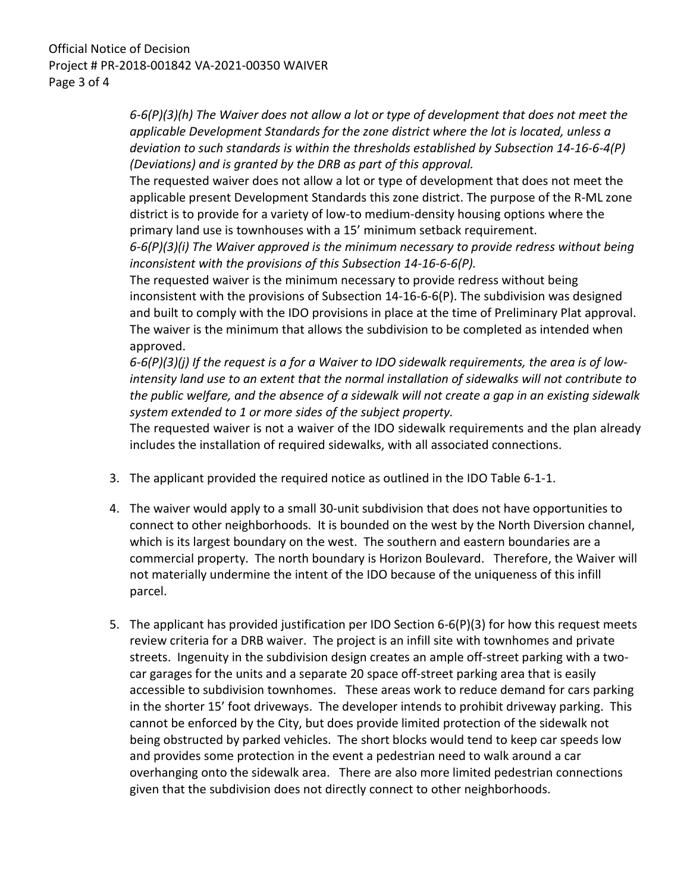## Official Notice of Decision Project # PR-2018-001842 VA-2021-00350 WAIVER Page 3 of 4

*6-6(P)(3)(h) The Waiver does not allow a lot or type of development that does not meet the applicable Development Standards for the zone district where the lot is located, unless a deviation to such standards is within the thresholds established by Subsection 14-16-6-4(P) (Deviations) and is granted by the DRB as part of this approval.* 

The requested waiver does not allow a lot or type of development that does not meet the applicable present Development Standards this zone district. The purpose of the R-ML zone district is to provide for a variety of low-to medium-density housing options where the primary land use is townhouses with a 15' minimum setback requirement.

*6-6(P)(3)(i) The Waiver approved is the minimum necessary to provide redress without being inconsistent with the provisions of this Subsection 14-16-6-6(P).* 

The requested waiver is the minimum necessary to provide redress without being inconsistent with the provisions of Subsection 14-16-6-6(P). The subdivision was designed and built to comply with the IDO provisions in place at the time of Preliminary Plat approval. The waiver is the minimum that allows the subdivision to be completed as intended when approved.

*6-6(P)(3)(j) If the request is a for a Waiver to IDO sidewalk requirements, the area is of lowintensity land use to an extent that the normal installation of sidewalks will not contribute to the public welfare, and the absence of a sidewalk will not create a gap in an existing sidewalk system extended to 1 or more sides of the subject property.* 

The requested waiver is not a waiver of the IDO sidewalk requirements and the plan already includes the installation of required sidewalks, with all associated connections.

- 3. The applicant provided the required notice as outlined in the IDO Table 6-1-1.
- 4. The waiver would apply to a small 30-unit subdivision that does not have opportunities to connect to other neighborhoods. It is bounded on the west by the North Diversion channel, which is its largest boundary on the west. The southern and eastern boundaries are a commercial property. The north boundary is Horizon Boulevard. Therefore, the Waiver will not materially undermine the intent of the IDO because of the uniqueness of this infill parcel.
- 5. The applicant has provided justification per IDO Section 6-6(P)(3) for how this request meets review criteria for a DRB waiver. The project is an infill site with townhomes and private streets. Ingenuity in the subdivision design creates an ample off-street parking with a twocar garages for the units and a separate 20 space off-street parking area that is easily accessible to subdivision townhomes. These areas work to reduce demand for cars parking in the shorter 15' foot driveways. The developer intends to prohibit driveway parking. This cannot be enforced by the City, but does provide limited protection of the sidewalk not being obstructed by parked vehicles. The short blocks would tend to keep car speeds low and provides some protection in the event a pedestrian need to walk around a car overhanging onto the sidewalk area. There are also more limited pedestrian connections given that the subdivision does not directly connect to other neighborhoods.